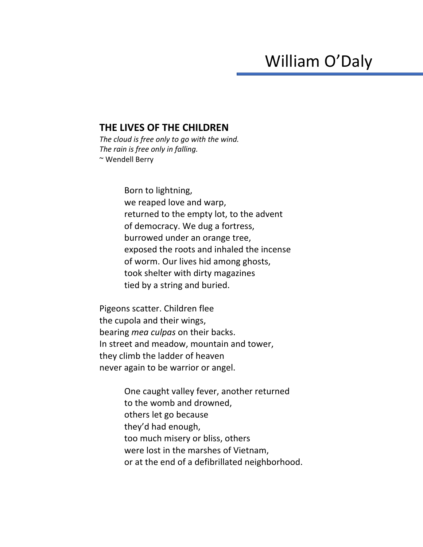## William O'Daly

## **THE LIVES OF THE CHILDREN**

*The cloud is free only to go with the wind. The rain is free only in falling.* ~ Wendell Berry

> Born to lightning, we reaped love and warp, returned to the empty lot, to the advent of democracy. We dug a fortress, burrowed under an orange tree, exposed the roots and inhaled the incense of worm. Our lives hid among ghosts, took shelter with dirty magazines tied by a string and buried.

Pigeons scatter. Children flee the cupola and their wings, bearing *mea culpas* on their backs. In street and meadow, mountain and tower, they climb the ladder of heaven never again to be warrior or angel.

> One caught valley fever, another returned to the womb and drowned, others let go because they'd had enough, too much misery or bliss, others were lost in the marshes of Vietnam, or at the end of a defibrillated neighborhood.